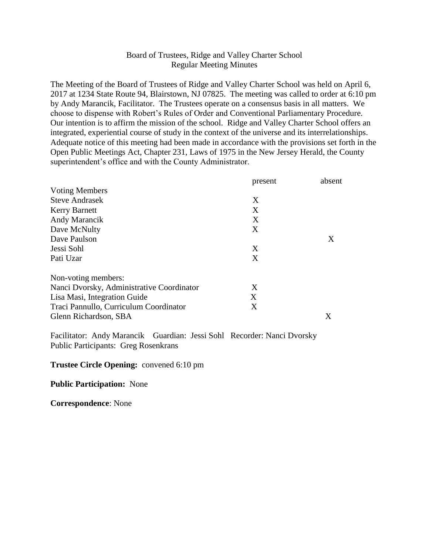# Board of Trustees, Ridge and Valley Charter School Regular Meeting Minutes

The Meeting of the Board of Trustees of Ridge and Valley Charter School was held on April 6, 2017 at 1234 State Route 94, Blairstown, NJ 07825. The meeting was called to order at 6:10 pm by Andy Marancik, Facilitator. The Trustees operate on a consensus basis in all matters. We choose to dispense with Robert's Rules of Order and Conventional Parliamentary Procedure. Our intention is to affirm the mission of the school. Ridge and Valley Charter School offers an integrated, experiential course of study in the context of the universe and its interrelationships. Adequate notice of this meeting had been made in accordance with the provisions set forth in the Open Public Meetings Act, Chapter 231, Laws of 1975 in the New Jersey Herald, the County superintendent's office and with the County Administrator.

|                                           | present | absent |
|-------------------------------------------|---------|--------|
| <b>Voting Members</b>                     |         |        |
| <b>Steve Andrasek</b>                     | X       |        |
| <b>Kerry Barnett</b>                      | X       |        |
| Andy Marancik                             | X       |        |
| Dave McNulty                              | X       |        |
| Dave Paulson                              |         | X      |
| Jessi Sohl                                | X       |        |
| Pati Uzar                                 | X       |        |
| Non-voting members:                       |         |        |
| Nanci Dvorsky, Administrative Coordinator | X       |        |
| Lisa Masi, Integration Guide              | X       |        |
| Traci Pannullo, Curriculum Coordinator    | X       |        |
| Glenn Richardson, SBA                     |         | X      |

Facilitator: Andy Marancik Guardian: Jessi Sohl Recorder: Nanci Dvorsky Public Participants: Greg Rosenkrans

#### **Trustee Circle Opening:** convened 6:10 pm

#### **Public Participation:** None

**Correspondence**: None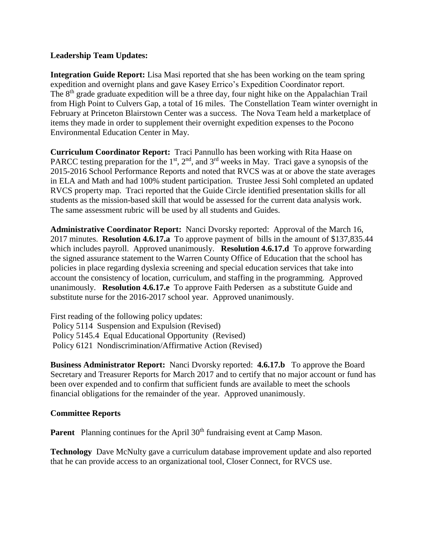## **Leadership Team Updates:**

**Integration Guide Report:** Lisa Masi reported that she has been working on the team spring expedition and overnight plans and gave Kasey Errico's Expedition Coordinator report. The 8<sup>th</sup> grade graduate expedition will be a three day, four night hike on the Appalachian Trail from High Point to Culvers Gap, a total of 16 miles. The Constellation Team winter overnight in February at Princeton Blairstown Center was a success. The Nova Team held a marketplace of items they made in order to supplement their overnight expedition expenses to the Pocono Environmental Education Center in May.

**Curriculum Coordinator Report:** Traci Pannullo has been working with Rita Haase on PARCC testing preparation for the  $1<sup>st</sup>$ ,  $2<sup>nd</sup>$ , and  $3<sup>rd</sup>$  weeks in May. Traci gave a synopsis of the 2015-2016 School Performance Reports and noted that RVCS was at or above the state averages in ELA and Math and had 100% student participation. Trustee Jessi Sohl completed an updated RVCS property map. Traci reported that the Guide Circle identified presentation skills for all students as the mission-based skill that would be assessed for the current data analysis work. The same assessment rubric will be used by all students and Guides.

**Administrative Coordinator Report:** Nanci Dvorsky reported: Approval of the March 16, 2017 minutes. **Resolution 4.6.17.a** To approve payment of bills in the amount of \$137,835.44 which includes payroll. Approved unanimously. **Resolution 4.6.17.d** To approve forwarding the signed assurance statement to the Warren County Office of Education that the school has policies in place regarding dyslexia screening and special education services that take into account the consistency of location, curriculum, and staffing in the programming. Approved unanimously. **Resolution 4.6.17.e** To approve Faith Pedersen as a substitute Guide and substitute nurse for the 2016-2017 school year. Approved unanimously.

First reading of the following policy updates: Policy 5114 Suspension and Expulsion (Revised) Policy 5145.4 Equal Educational Opportunity (Revised) Policy 6121 Nondiscrimination/Affirmative Action (Revised)

**Business Administrator Report:** Nanci Dvorsky reported: **4.6.17.b** To approve the Board Secretary and Treasurer Reports for March 2017 and to certify that no major account or fund has been over expended and to confirm that sufficient funds are available to meet the schools financial obligations for the remainder of the year. Approved unanimously.

## **Committee Reports**

**Parent** Planning continues for the April 30<sup>th</sup> fundraising event at Camp Mason.

**Technology** Dave McNulty gave a curriculum database improvement update and also reported that he can provide access to an organizational tool, Closer Connect, for RVCS use.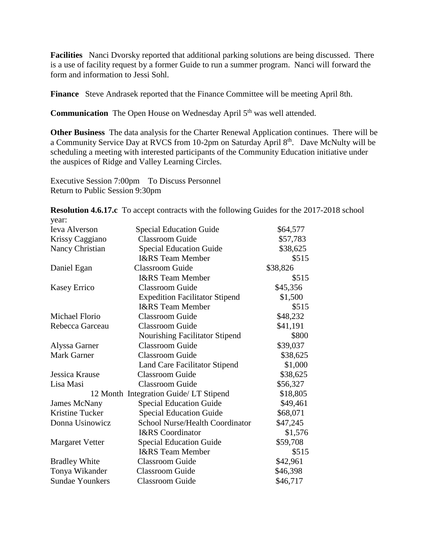**Facilities** Nanci Dvorsky reported that additional parking solutions are being discussed. There is a use of facility request by a former Guide to run a summer program. Nanci will forward the form and information to Jessi Sohl.

**Finance** Steve Andrasek reported that the Finance Committee will be meeting April 8th.

**Communication** The Open House on Wednesday April 5<sup>th</sup> was well attended.

**Other Business** The data analysis for the Charter Renewal Application continues. There will be a Community Service Day at RVCS from 10-2pm on Saturday April 8<sup>th</sup>. Dave McNulty will be scheduling a meeting with interested participants of the Community Education initiative under the auspices of Ridge and Valley Learning Circles.

Executive Session 7:00pm To Discuss Personnel Return to Public Session 9:30pm

**Resolution 4.6.17.c** To accept contracts with the following Guides for the 2017-2018 school year:

| <b>Ieva Alverson</b>   | <b>Special Education Guide</b>         | \$64,577 |
|------------------------|----------------------------------------|----------|
| Krissy Caggiano        | <b>Classroom Guide</b>                 | \$57,783 |
| Nancy Christian        | <b>Special Education Guide</b>         | \$38,625 |
|                        | <b>I&amp;RS</b> Team Member            | \$515    |
| Daniel Egan            | <b>Classroom Guide</b>                 | \$38,826 |
|                        | <b>I&amp;RS</b> Team Member            | \$515    |
| <b>Kasey Errico</b>    | <b>Classroom Guide</b>                 | \$45,356 |
|                        | <b>Expedition Facilitator Stipend</b>  | \$1,500  |
|                        | <b>I&amp;RS</b> Team Member            | \$515    |
| Michael Florio         | <b>Classroom Guide</b>                 | \$48,232 |
| Rebecca Garceau        | <b>Classroom Guide</b>                 | \$41,191 |
|                        | Nourishing Facilitator Stipend         | \$800    |
| Alyssa Garner          | <b>Classroom Guide</b>                 | \$39,037 |
| <b>Mark Garner</b>     | <b>Classroom Guide</b>                 | \$38,625 |
|                        | <b>Land Care Facilitator Stipend</b>   | \$1,000  |
| Jessica Krause         | <b>Classroom Guide</b>                 | \$38,625 |
| Lisa Masi              | <b>Classroom Guide</b>                 | \$56,327 |
|                        | 12 Month Integration Guide/ LT Stipend | \$18,805 |
| <b>James McNany</b>    | <b>Special Education Guide</b>         | \$49,461 |
| Kristine Tucker        | <b>Special Education Guide</b>         | \$68,071 |
| Donna Usinowicz        | <b>School Nurse/Health Coordinator</b> | \$47,245 |
|                        | <b>I&amp;RS</b> Coordinator            | \$1,576  |
| <b>Margaret Vetter</b> | <b>Special Education Guide</b>         | \$59,708 |
|                        | <b>I&amp;RS</b> Team Member            | \$515    |
| <b>Bradley White</b>   | <b>Classroom Guide</b>                 | \$42,961 |
| Tonya Wikander         | <b>Classroom Guide</b>                 | \$46,398 |
| <b>Sundae Younkers</b> | <b>Classroom Guide</b>                 | \$46,717 |